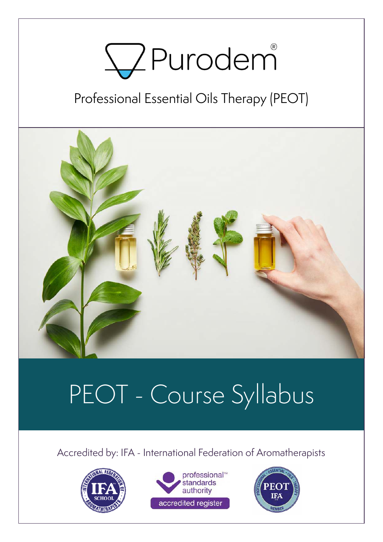# **W**Purodem®

# Professional Essential Oils Therapy (PEOT)



# PEOT - Course Syllabus

### Accredited by: IFA - International Federation of Aromatherapists





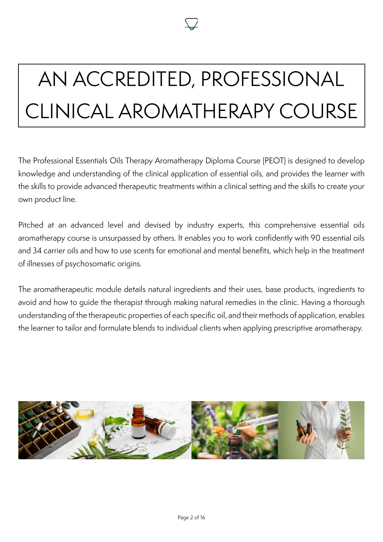

The Professional Essentials Oils Therapy Aromatherapy Diploma Course (PEOT) is designed to develop knowledge and understanding of the clinical application of essential oils, and provides the learner with the skills to provide advanced therapeutic treatments within a clinical setting and the skills to create your own product line.

Pitched at an advanced level and devised by industry experts, this comprehensive essential oils aromatherapy course is unsurpassed by others. It enables you to work confidently with 90 essential oils and 34 carrier oils and how to use scents for emotional and mental benefits, which help in the treatment of illnesses of psychosomatic origins.

The aromatherapeutic module details natural ingredients and their uses, base products, ingredients to avoid and how to guide the therapist through making natural remedies in the clinic. Having a thorough understanding of the therapeutic properties of each specific oil, and their methods of application, enables the learner to tailor and formulate blends to individual clients when applying prescriptive aromatherapy.

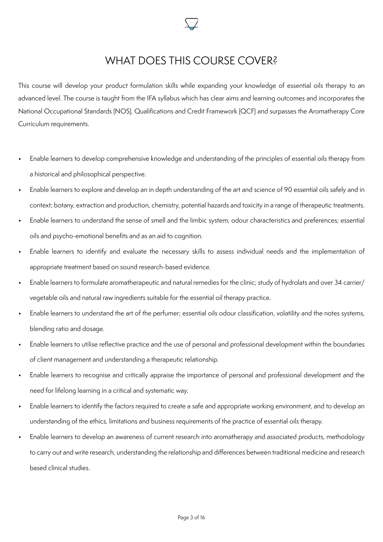

### WHAT DOES THIS COURSE COVER?

This course will develop your product formulation skills while expanding your knowledge of essential oils therapy to an advanced level. The course is taught from the IFA syllabus which has clear aims and learning outcomes and incorporates the National Occupational Standards (NOS), Qualifications and Credit Framework (QCF) and surpasses the Aromatherapy Core Curriculum requirements.

- Enable learners to develop comprehensive knowledge and understanding of the principles of essential oils therapy from a historical and philosophical perspective.
- Enable learners to explore and develop an in depth understanding of the art and science of 90 essential oils safely and in context; botany, extraction and production, chemistry, potential hazards and toxicity in a range of therapeutic treatments.
- Enable learners to understand the sense of smell and the limbic system; odour characteristics and preferences; essential oils and psycho-emotional benefits and as an aid to cognition.
- Enable learners to identify and evaluate the necessary skills to assess individual needs and the implementation of appropriate treatment based on sound research-based evidence.
- Enable learners to formulate aromatherapeutic and natural remedies for the clinic; study of hydrolats and over 34 carrier/ vegetable oils and natural raw ingredients suitable for the essential oil therapy practice.
- Enable learners to understand the art of the perfumer; essential oils odour classification, volatility and the notes systems, blending ratio and dosage.
- Enable learners to utilise reflective practice and the use of personal and professional development within the boundaries of client management and understanding a therapeutic relationship.
- Enable learners to recognise and critically appraise the importance of personal and professional development and the need for lifelong learning in a critical and systematic way.
- Enable learners to identify the factors required to create a safe and appropriate working environment, and to develop an understanding of the ethics, limitations and business requirements of the practice of essential oils therapy.
- Enable learners to develop an awareness of current research into aromatherapy and associated products, methodology to carry out and write research, understanding the relationship and differences between traditional medicine and research based clinical studies.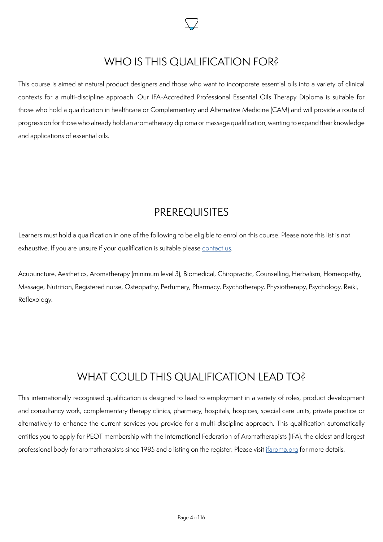

### WHO IS THIS QUALIFICATION FOR?

This course is aimed at natural product designers and those who want to incorporate essential oils into a variety of clinical contexts for a multi-discipline approach. Our IFA-Accredited Professional Essential Oils Therapy Diploma is suitable for those who hold a qualification in healthcare or Complementary and Alternative Medicine (CAM) and will provide a route of progression for those who already hold an aromatherapy diploma or massage qualification, wanting to expand their knowledge and applications of essential oils.

### PREREQUISITES

Learners must hold a qualification in one of the following to be eligible to enrol on this course. Please note this list is not exhaustive. If you are unsure if your qualification is suitable please [contact us](mailto:hello%40purodem.com?subject=PEOT%20Application%20Prerequisites).

Acupuncture, Aesthetics, Aromatherapy (minimum level 3), Biomedical, Chiropractic, Counselling, Herbalism, Homeopathy, Massage, Nutrition, Registered nurse, Osteopathy, Perfumery, Pharmacy, Psychotherapy, Physiotherapy, Psychology, Reiki, Reflexology.

### WHAT COULD THIS QUALIFICATION LEAD TO?

This internationally recognised qualification is designed to lead to employment in a variety of roles, product development and consultancy work, complementary therapy clinics, pharmacy, hospitals, hospices, special care units, private practice or alternatively to enhance the current services you provide for a multi-discipline approach. This qualification automatically entitles you to apply for PEOT membership with the International Federation of Aromatherapists (IFA), the oldest and largest professional body for aromatherapists since 1985 and a listing on the register. Please visit [ifaroma.org](mailto:https://ifaroma.org/en_GB/home?subject=) for more details.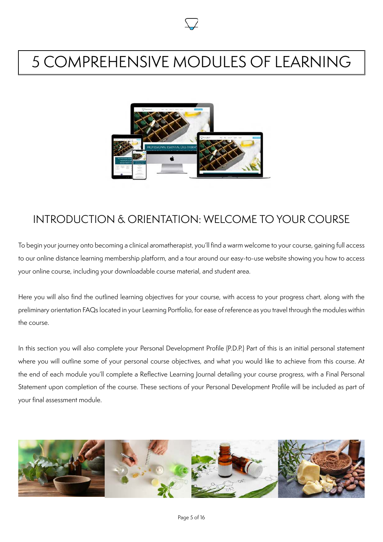# 5 COMPREHENSIVE MODULES OF LEARNING



### INTRODUCTION & ORIENTATION: WELCOME TO YOUR COURSE

To begin your journey onto becoming a clinical aromatherapist, you'll find a warm welcome to your course, gaining full access to our online distance learning membership platform, and a tour around our easy-to-use website showing you how to access your online course, including your downloadable course material, and student area.

Here you will also find the outlined learning objectives for your course, with access to your progress chart, along with the preliminary orientation FAQs located in your Learning Portfolio, for ease of reference as you travel through the modules within the course.

In this section you will also complete your Personal Development Profile (P.D.P.) Part of this is an initial personal statement where you will outline some of your personal course objectives, and what you would like to achieve from this course. At the end of each module you'll complete a Reflective Learning Journal detailing your course progress, with a Final Personal Statement upon completion of the course. These sections of your Personal Development Profile will be included as part of your final assessment module.

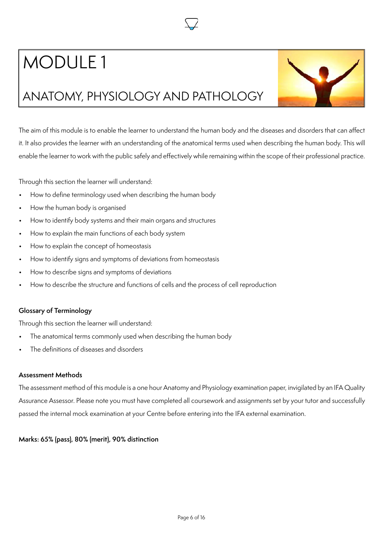# MODULE 1



# ANATOMY, PHYSIOLOGY AND PATHOLOGY

The aim of this module is to enable the learner to understand the human body and the diseases and disorders that can affect it. It also provides the learner with an understanding of the anatomical terms used when describing the human body. This will enable the learner to work with the public safely and effectively while remaining within the scope of their professional practice.

Through this section the learner will understand:

- How to define terminology used when describing the human body
- How the human body is organised
- How to identify body systems and their main organs and structures
- How to explain the main functions of each body system
- How to explain the concept of homeostasis
- How to identify signs and symptoms of deviations from homeostasis
- How to describe signs and symptoms of deviations
- How to describe the structure and functions of cells and the process of cell reproduction

#### **Glossary of Terminology**

Through this section the learner will understand:

- The anatomical terms commonly used when describing the human body
- The definitions of diseases and disorders

#### **Assessment Methods**

The assessment method of this module is a one hour Anatomy and Physiology examination paper, invigilated by an IFA Quality Assurance Assessor. Please note you must have completed all coursework and assignments set by your tutor and successfully passed the internal mock examination at your Centre before entering into the IFA external examination.

#### **Marks: 65% (pass), 80% (merit), 90% distinction**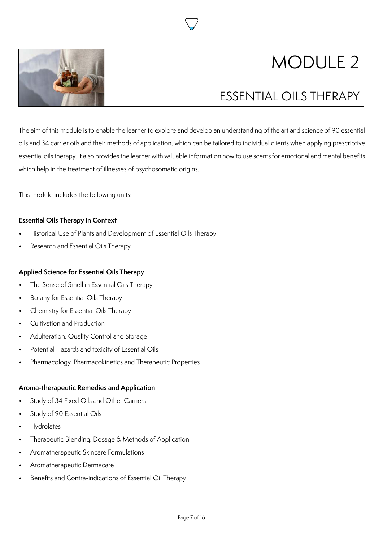



## ESSENTIAL OILS THERAPY

The aim of this module is to enable the learner to explore and develop an understanding of the art and science of 90 essential oils and 34 carrier oils and their methods of application, which can be tailored to individual clients when applying prescriptive essential oils therapy. It also provides the learner with valuable information how to use scents for emotional and mental benefits which help in the treatment of illnesses of psychosomatic origins.

This module includes the following units:

#### **Essential Oils Therapy in Context**

- Historical Use of Plants and Development of Essential Oils Therapy
- Research and Essential Oils Therapy

#### **Applied Science for Essential Oils Therapy**

- The Sense of Smell in Essential Oils Therapy
- Botany for Essential Oils Therapy
- Chemistry for Essential Oils Therapy
- Cultivation and Production
- Adulteration, Quality Control and Storage
- Potential Hazards and toxicity of Essential Oils
- Pharmacology, Pharmacokinetics and Therapeutic Properties

#### **Aroma-therapeutic Remedies and Application**

- Study of 34 Fixed Oils and Other Carriers
- Study of 90 Essential Oils
- **Hydrolates**
- Therapeutic Blending, Dosage & Methods of Application
- Aromatherapeutic Skincare Formulations
- Aromatherapeutic Dermacare
- Benefits and Contra-indications of Essential Oil Therapy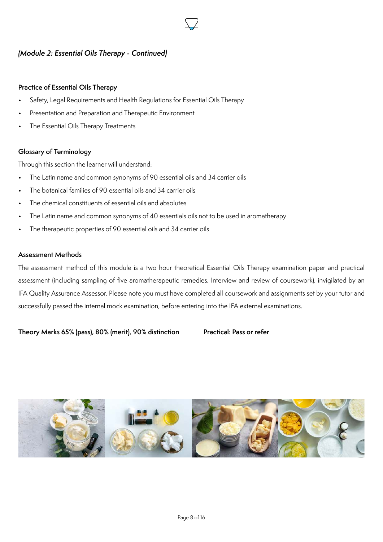#### (Module 2: Essential Oils Therapy - Continued)

#### **Practice of Essential Oils Therapy**

- Safety, Legal Requirements and Health Regulations for Essential Oils Therapy
- Presentation and Preparation and Therapeutic Environment
- The Essential Oils Therapy Treatments

#### **Glossary of Terminology**

Through this section the learner will understand:

- The Latin name and common synonyms of 90 essential oils and 34 carrier oils
- The botanical families of 90 essential oils and 34 carrier oils
- The chemical constituents of essential oils and absolutes
- The Latin name and common synonyms of 40 essentials oils not to be used in aromatherapy
- The therapeutic properties of 90 essential oils and 34 carrier oils

#### **Assessment Methods**

The assessment method of this module is a two hour theoretical Essential Oils Therapy examination paper and practical assessment (including sampling of five aromatherapeutic remedies, Interview and review of coursework), invigilated by an IFA Quality Assurance Assessor. Please note you must have completed all coursework and assignments set by your tutor and successfully passed the internal mock examination, before entering into the IFA external examinations.

**Theory Marks 65% (pass), 80% (merit), 90% distinction Practical: Pass or refer**

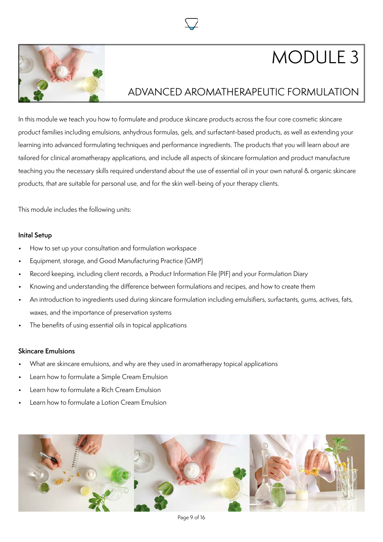





### ADVANCED AROMATHERAPEUTIC FORMULATION

In this module we teach you how to formulate and produce skincare products across the four core cosmetic skincare product families including emulsions, anhydrous formulas, gels, and surfactant-based products, as well as extending your learning into advanced formulating techniques and performance ingredients. The products that you will learn about are tailored for clinical aromatherapy applications, and include all aspects of skincare formulation and product manufacture teaching you the necessary skills required understand about the use of essential oil in your own natural & organic skincare products, that are suitable for personal use, and for the skin well-being of your therapy clients.

This module includes the following units:

#### **Inital Setup**

- How to set up your consultation and formulation workspace
- Equipment, storage, and Good Manufacturing Practice (GMP)
- Record keeping, including client records, a Product Information File (PIF) and your Formulation Diary
- Knowing and understanding the difference between formulations and recipes, and how to create them
- An introduction to ingredients used during skincare formulation including emulsifiers, surfactants, gums, actives, fats, waxes, and the importance of preservation systems
- The benefits of using essential oils in topical applications

#### **Skincare Emulsions**

- What are skincare emulsions, and why are they used in aromatherapy topical applications
- Learn how to formulate a Simple Cream Emulsion
- Learn how to formulate a Rich Cream Emulsion
- Learn how to formulate a Lotion Cream Emulsion

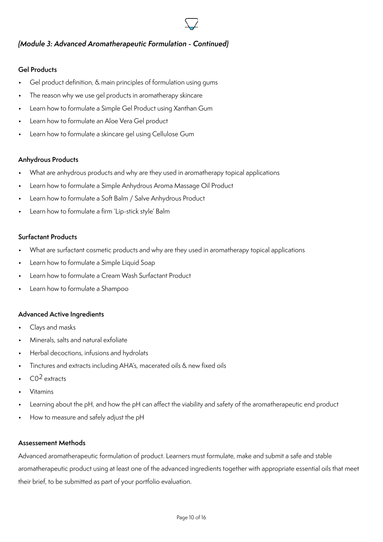#### (Module 3: Advanced Aromatherapeutic Formulation - Continued)

#### **Gel Products**

- Gel product definition, & main principles of formulation using gums
- The reason why we use gel products in aromatherapy skincare
- Learn how to formulate a Simple Gel Product using Xanthan Gum
- Learn how to formulate an Aloe Vera Gel product
- Learn how to formulate a skincare gel using Cellulose Gum

#### **Anhydrous Products**

- What are anhydrous products and why are they used in aromatherapy topical applications
- Learn how to formulate a Simple Anhydrous Aroma Massage Oil Product
- Learn how to formulate a Soft Balm / Salve Anhydrous Product
- Learn how to formulate a firm 'Lip-stick style' Balm

#### **Surfactant Products**

- What are surfactant cosmetic products and why are they used in aromatherapy topical applications
- Learn how to formulate a Simple Liquid Soap
- Learn how to formulate a Cream Wash Surfactant Product
- Learn how to formulate a Shampoo

#### **Advanced Active Ingredients**

- Clays and masks
- Minerals, salts and natural exfoliate
- Herbal decoctions, infusions and hydrolats
- Tinctures and extracts including AHA's, macerated oils & new fixed oils
- C02 extracts
- Vitamins
- Learning about the pH, and how the pH can affect the viability and safety of the aromatherapeutic end product
- How to measure and safely adjust the pH

#### **Assessement Methods**

Advanced aromatherapeutic formulation of product. Learners must formulate, make and submit a safe and stable aromatherapeutic product using at least one of the advanced ingredients together with appropriate essential oils that meet their brief, to be submitted as part of your portfolio evaluation.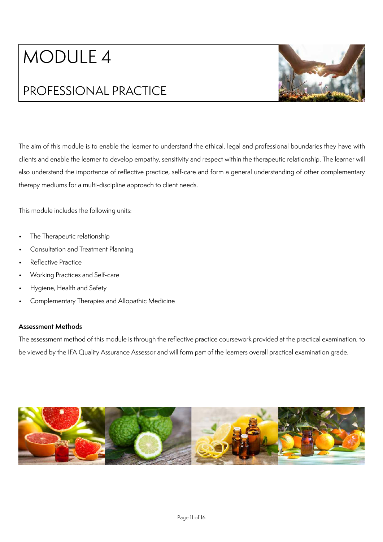# MODULE 4

# PROFESSIONAL PRACTICE



The aim of this module is to enable the learner to understand the ethical, legal and professional boundaries they have with clients and enable the learner to develop empathy, sensitivity and respect within the therapeutic relationship. The learner will also understand the importance of reflective practice, self-care and form a general understanding of other complementary therapy mediums for a multi-discipline approach to client needs.

This module includes the following units:

- The Therapeutic relationship
- Consultation and Treatment Planning
- Reflective Practice
- Working Practices and Self-care
- Hygiene, Health and Safety
- Complementary Therapies and Allopathic Medicine

#### **Assessment Methods**

The assessment method of this module is through the reflective practice coursework provided at the practical examination, to be viewed by the IFA Quality Assurance Assessor and will form part of the learners overall practical examination grade.

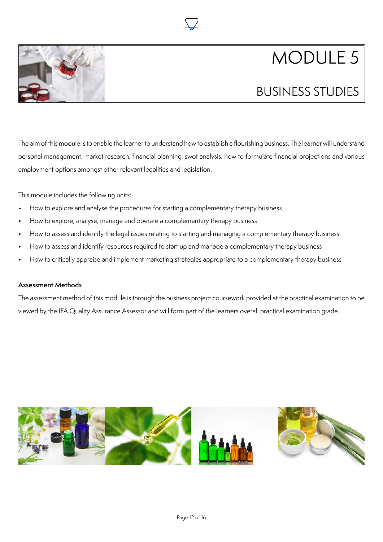



## BUSINESS STUDIES

The aim of this module is to enable the learner to understand how to establish a flourishing business. The learner will understand personal management, market research, financial planning, swot analysis, how to formulate financial projections and various employment options amongst other relevant legalities and legislation.

This module includes the following units:

- How to explore and analyse the procedures for starting a complementary therapy business
- How to explore, analyse, manage and operate a complementary therapy business
- How to assess and identify the legal issues relating to starting and managing a complementary therapy business
- How to assess and identify resources required to start up and manage a complementary therapy business
- How to critically appraise and implement marketing strategies appropriate to a complementary therapy business

#### **Assessment Methods**

The assessment method of this module is through the business project coursework provided at the practical examination to be viewed by the IFA Quality Assurance Assessor and will form part of the learners overall practical examination grade.

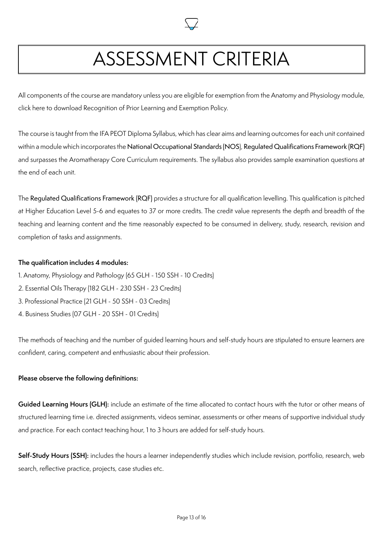

# ASSESSMENT CRITERIA

All components of the course are mandatory unless you are eligible for exemption from the Anatomy and Physiology module, click here to download Recognition of Prior Learning and Exemption Policy.

The course is taught from the IFA PEOT Diploma Syllabus, which has clear aims and learning outcomes for each unit contained within a module which incorporates the National Occupational Standards (NOS), Regulated Qualifications Framework (RQF) and surpasses the Aromatherapy Core Curriculum requirements. The syllabus also provides sample examination questions at the end of each unit.

The Regulated Qualifications Framework (RQF) provides a structure for all qualification levelling. This qualification is pitched at Higher Education Level 5-6 and equates to 37 or more credits. The credit value represents the depth and breadth of the teaching and learning content and the time reasonably expected to be consumed in delivery, study, research, revision and completion of tasks and assignments.

#### **The qualification includes 4 modules:**

- 1. Anatomy, Physiology and Pathology (65 GLH 150 SSH 10 Credits)
- 2. Essential Oils Therapy (182 GLH 230 SSH 23 Credits)
- 3. Professional Practice (21 GLH 50 SSH 03 Credits)
- 4. Business Studies (07 GLH 20 SSH 01 Credits)

The methods of teaching and the number of guided learning hours and self-study hours are stipulated to ensure learners are confident, caring, competent and enthusiastic about their profession.

#### **Please observe the following definitions:**

Guided Learning Hours (GLH): include an estimate of the time allocated to contact hours with the tutor or other means of structured learning time i.e. directed assignments, videos seminar, assessments or other means of supportive individual study and practice. For each contact teaching hour, 1 to 3 hours are added for self-study hours.

Self-Study Hours (SSH): includes the hours a learner independently studies which include revision, portfolio, research, web search, reflective practice, projects, case studies etc.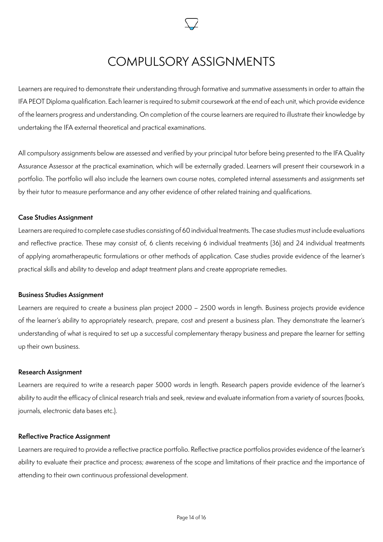

### COMPULSORY ASSIGNMENTS

Learners are required to demonstrate their understanding through formative and summative assessments in order to attain the IFA PEOT Diploma qualification. Each learner is required to submit coursework at the end of each unit, which provide evidence of the learners progress and understanding. On completion of the course learners are required to illustrate their knowledge by undertaking the IFA external theoretical and practical examinations.

All compulsory assignments below are assessed and verified by your principal tutor before being presented to the IFA Quality Assurance Assessor at the practical examination, which will be externally graded. Learners will present their coursework in a portfolio. The portfolio will also include the learners own course notes, completed internal assessments and assignments set by their tutor to measure performance and any other evidence of other related training and qualifications.

#### **Case Studies Assignment**

Learners are required to complete case studies consisting of 60 individual treatments. The case studies must include evaluations and reflective practice. These may consist of, 6 clients receiving 6 individual treatments (36) and 24 individual treatments of applying aromatherapeutic formulations or other methods of application. Case studies provide evidence of the learner's practical skills and ability to develop and adapt treatment plans and create appropriate remedies.

#### **Business Studies Assignment**

Learners are required to create a business plan project 2000 – 2500 words in length. Business projects provide evidence of the learner's ability to appropriately research, prepare, cost and present a business plan. They demonstrate the learner's understanding of what is required to set up a successful complementary therapy business and prepare the learner for setting up their own business.

#### **Research Assignment**

Learners are required to write a research paper 5000 words in length. Research papers provide evidence of the learner's ability to audit the efficacy of clinical research trials and seek, review and evaluate information from a variety of sources (books, journals, electronic data bases etc.).

#### **Reflective Practice Assignment**

Learners are required to provide a reflective practice portfolio. Reflective practice portfolios provides evidence of the learner's ability to evaluate their practice and process; awareness of the scope and limitations of their practice and the importance of attending to their own continuous professional development.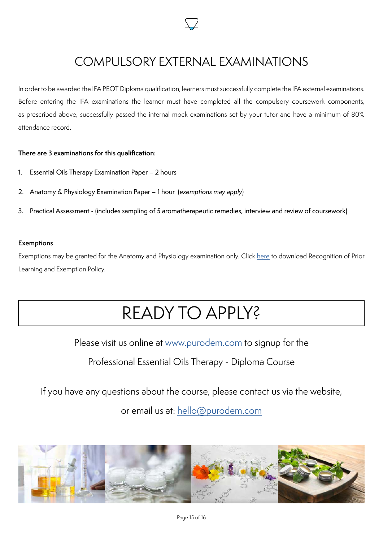

## COMPULSORY EXTERNAL EXAMINATIONS

In order to be awarded the IFA PEOT Diploma qualification, learners must successfully complete the IFA external examinations. Before entering the IFA examinations the learner must have completed all the compulsory coursework components, as prescribed above, successfully passed the internal mock examinations set by your tutor and have a minimum of 80% attendance record.

#### **There are 3 examinations for this qualification:**

- 1. Essential Oils Therapy Examination Paper 2 hours
- 2. Anatomy & Physiology Examination Paper 1 hour (exemptions may apply)
- 3. Practical Assessment (includes sampling of 5 aromatherapeutic remedies, interview and review of coursework)

#### **Exemptions**

Exemptions may be granted for the Anatomy and Physiology examination only. Click [here](https://www.purodem.com/wp-content/uploads/2021/07/IFA_RECOGNITION_OF_PRIOR_LEARNING__EXEMPTION_POLICY.pdf) to download Recognition of Prior Learning and Exemption Policy.

# READY TO APPLY?

Please visit us online at [www.purodem.com](https://www.purodem.com/peot-aromatherapy-course/) to signup for the

Professional Essential Oils Therapy - Diploma Course

If you have any questions about the course, please contact us via the website,

or email us at: [hello@purodem.com](mailto:hello%40purodem.com?subject=PEOT%20Application)